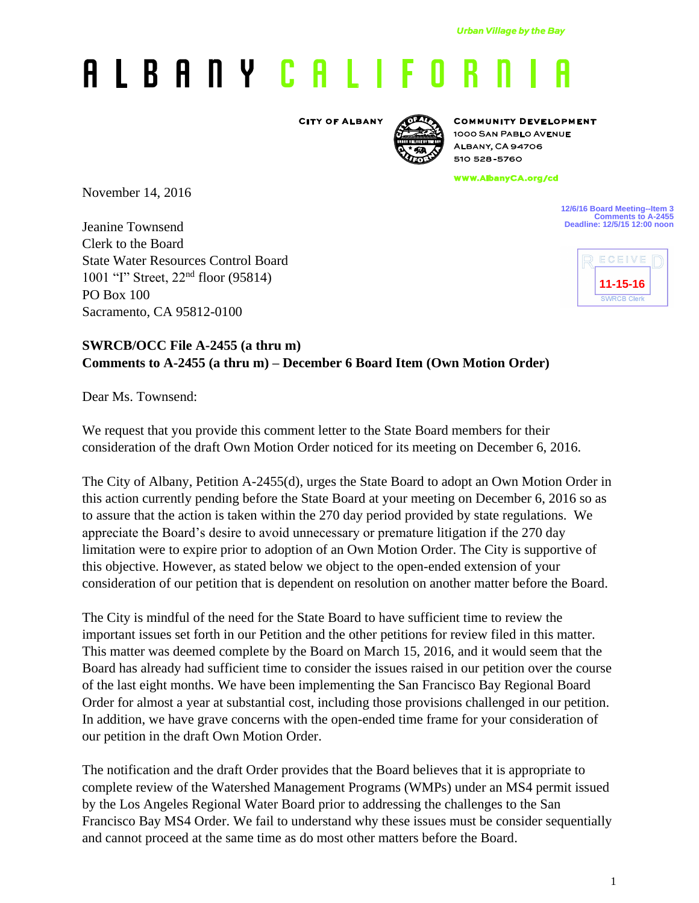## A L B A N Y C A L I F O R

**CITY OF ALBANY** 



**COMMUNITY DEVELOPMENT** 1000 SAN PABLO AVENUE **ALBANY, CA 94706** 510 528-5760

www.AlbanyCA.org/cd

November 14, 2016

Jeanine Townsend Clerk to the Board State Water Resources Control Board 1001 "I" Street, 22nd floor (95814) PO Box 100 Sacramento, CA 95812-0100

**12/6/16 Board Meeting--Item 3 Comments to A-2455 Deadline: 12/5/15 12:00 noon**



## **SWRCB/OCC File A-2455 (a thru m) Comments to A-2455 (a thru m) – December 6 Board Item (Own Motion Order)**

Dear Ms. Townsend:

We request that you provide this comment letter to the State Board members for their consideration of the draft Own Motion Order noticed for its meeting on December 6, 2016.

The City of Albany, Petition A-2455(d), urges the State Board to adopt an Own Motion Order in this action currently pending before the State Board at your meeting on December 6, 2016 so as to assure that the action is taken within the 270 day period provided by state regulations. We appreciate the Board's desire to avoid unnecessary or premature litigation if the 270 day limitation were to expire prior to adoption of an Own Motion Order. The City is supportive of this objective. However, as stated below we object to the open-ended extension of your consideration of our petition that is dependent on resolution on another matter before the Board.

The City is mindful of the need for the State Board to have sufficient time to review the important issues set forth in our Petition and the other petitions for review filed in this matter. This matter was deemed complete by the Board on March 15, 2016, and it would seem that the Board has already had sufficient time to consider the issues raised in our petition over the course of the last eight months. We have been implementing the San Francisco Bay Regional Board Order for almost a year at substantial cost, including those provisions challenged in our petition. In addition, we have grave concerns with the open-ended time frame for your consideration of our petition in the draft Own Motion Order.

The notification and the draft Order provides that the Board believes that it is appropriate to complete review of the Watershed Management Programs (WMPs) under an MS4 permit issued by the Los Angeles Regional Water Board prior to addressing the challenges to the San Francisco Bay MS4 Order. We fail to understand why these issues must be consider sequentially and cannot proceed at the same time as do most other matters before the Board.